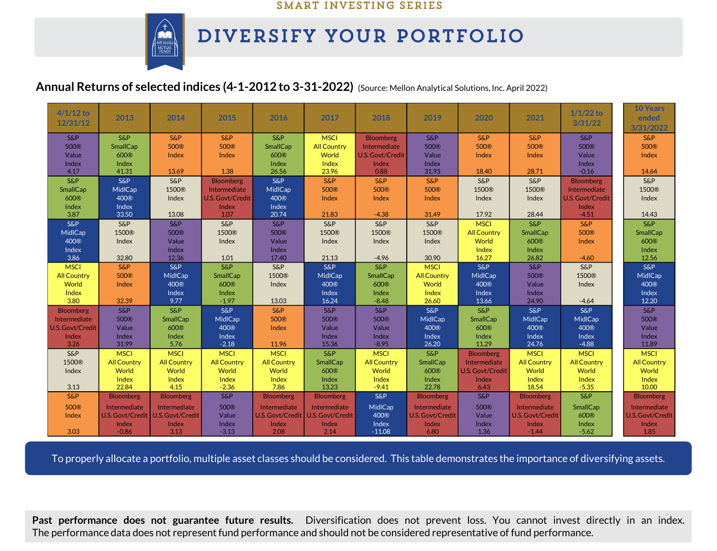#### SMART INVESTING SERIES



# DIVERSIFY YOUR PORTFOLIO

## **Annual Returns of selected indices (4-1-2012 to 3-31-2022)** (Source: Mellon Analytical Solutions, Inc. April 2022)

| $4/1/12$ to<br>12/31/12   | 2013               | 2014                      | 2015                      | 2016                    | 2017                        | 2018                                    | 2019                        | 2020                        | 2021                      | $1/1/22$ to<br>3/31/22    | <b>10 Years</b><br>ended<br>3/31/2022 |
|---------------------------|--------------------|---------------------------|---------------------------|-------------------------|-----------------------------|-----------------------------------------|-----------------------------|-----------------------------|---------------------------|---------------------------|---------------------------------------|
| <b>S&amp;P</b>            | <b>S&amp;P</b>     | S&P                       | <b>S&amp;P</b>            | <b>S&amp;P</b>          | <b>MSCI</b>                 | <b>Bloomberg</b>                        | S&P                         | <b>S&amp;P</b>              | S&P                       | <b>S&amp;P</b>            | <b>S&amp;P</b>                        |
| 500 <sup>®</sup><br>Value | SmallCap<br>600®   | 500 <sup>®</sup><br>Index | 500 <sup>®</sup><br>Index | SmallCap<br>600®        | <b>All Country</b><br>World | Intermediate<br><b>U.S. Govt/Credit</b> | 500 <sup>®</sup><br>Value   | 500 <sup>®</sup><br>Index   | 500 <sup>®</sup><br>Index | 500 <sup>®</sup><br>Value | 500 <sup>®</sup>                      |
| Index                     | Index              |                           |                           | Index                   | Index                       | Index                                   | Index                       |                             |                           | Index                     | Index                                 |
| 4.17                      | 41.31              | 13.69                     | 1.38                      | 26.56                   | 23.96                       | 0.88                                    | 31.93                       | 18.40                       | 28.71                     | $-0.16$                   | 14.64                                 |
| <b>S&amp;P</b>            | <b>S&amp;P</b>     | S&P                       | <b>Bloomberg</b>          | <b>S&amp;P</b>          | <b>S&amp;P</b>              | <b>S&amp;P</b>                          | S&P                         | S&P                         | S&P                       | <b>Bloomberg</b>          | <b>S&amp;P</b>                        |
| SmallCap                  | MidlCap            | 1500®                     | Intermediate              | MidlCap                 | 500 <sup>®</sup>            | 500 <sup>®</sup>                        | 500®                        | 1500®                       | 1500®                     | Intermediate              | 1500®                                 |
| 600®                      | 400®               | Index                     | U.S. Govt/Credit          | 400®                    | Index                       | Index                                   | Index                       | Index                       | Index                     | U.S. Govt/Credit          | Index                                 |
| Index                     | Index              |                           | Index                     | Index                   |                             |                                         |                             |                             |                           | Index                     |                                       |
| 3.87                      | 33.50              | 13.08                     | 1.07                      | 20.74                   | 21.83                       | $-4.38$                                 | 31.49                       | 17.92                       | 28.44                     | $-4.51$                   | 14.43                                 |
| <b>S&amp;P</b>            | <b>S&amp;P</b>     | S&P                       | <b>S&amp;P</b>            | S&P                     | <b>S&amp;P</b>              | S&P                                     | S&P                         | <b>MSCI</b>                 | S&P                       | S&P                       | S&P                                   |
| MidlCap                   | 1500®              | 500®                      | 1500®                     | 500 <sup>®</sup>        | 1500®                       | 1500®                                   | 1500®                       | <b>All Country</b>          | SmallCap                  | 500 <sup>®</sup>          | <b>SmallCap</b>                       |
| 400 <sup>®</sup>          | Index              | Value                     | Index                     | Value                   | Index                       | Index                                   | Index                       | World                       | 600®                      | Index                     | 600®                                  |
| Index                     |                    | Index                     |                           | Index                   |                             |                                         |                             | Index                       | Index                     |                           | Index                                 |
| 3.86                      | 32.80              | 12.36                     | 1.01                      | 17.40                   | 21.13                       | $-4.96$                                 | 30.90                       | 16.27                       | 26.82                     | $-4.60$                   | 12.56                                 |
| <b>MSCI</b>               | <b>S&amp;P</b>     | S&P                       | <b>S&amp;P</b>            | <b>S&amp;P</b>          | S&P                         | S&P                                     | <b>MSCI</b>                 | $S\&P$                      | S&P                       | $S\&P$                    | S&P                                   |
| <b>All Country</b>        | 500®               | MidlCap<br>400®           | SmallCap                  | 1500®                   | MidlCap<br>400 <sup>®</sup> | SmallCap<br>600®                        | <b>All Country</b><br>World | MidlCap<br>400 <sup>®</sup> | 500 <sup>®</sup>          | 1500®                     | MidlCap<br>400 <sup>®</sup>           |
| World<br>Index            | Index              | Index                     | 600®<br>Index             | Index                   | Index                       | Index                                   | Index                       | Index                       | Value<br>Index            | Index                     | Index                                 |
| 3.80                      | 32.39              | 9.77                      | $-1.97$                   | 13.03                   | 16.24                       | $-8.48$                                 | 26.60                       | 13.66                       | 24.90                     | $-4.64$                   | 12.20                                 |
| <b>Bloomberg</b>          | <b>S&amp;P</b>     | <b>S&amp;P</b>            | <b>S&amp;P</b>            | <b>S&amp;P</b>          | <b>S&amp;P</b>              | <b>S&amp;P</b>                          | S&P                         | <b>S&amp;P</b>              | S&P                       | S&P                       | <b>S&amp;P</b>                        |
| Intermediate              | 500®               | SmallCap                  | MidlCap                   | 500®                    | 500 <sup>®</sup>            | 500 <sup>®</sup>                        | MidlCap                     | SmallCap                    | MidlCap                   | MidlCap                   | 500®                                  |
| U.S. Govt/Credit          | Value              | 600®                      | 400 <sup>®</sup>          | Index                   | Value                       | Value                                   | 400 <sup>®</sup>            | 600®                        | 400 <sup>®</sup>          | 400 <sup>®</sup>          | Value                                 |
| Index                     | Index              | Index                     | Index                     |                         | Index                       | Index                                   | Index                       | Index                       | Index                     | Index                     | Index                                 |
| 3.26                      | 31.99              | 5.76                      | $-2.18$                   | 11.96                   | 15.36                       | $-8.95$                                 | 26.20                       | 11.29                       | 24.76                     | $-4.88$                   | 11.89                                 |
| S&P                       | <b>MSCI</b>        | <b>MSCI</b>               | <b>MSCI</b>               | <b>MSCI</b>             | <b>S&amp;P</b>              | <b>MSCI</b>                             | S&P                         | <b>Bloomberg</b>            | <b>MSCI</b>               | <b>MSCI</b>               | <b>MSCI</b>                           |
| 1500®                     | <b>All Country</b> | <b>All Country</b>        | <b>All Country</b>        | <b>All Country</b>      | SmallCap                    | <b>All Country</b>                      | SmallCap                    | Intermediate                | <b>All Country</b>        | <b>All Country</b>        | <b>All Country</b>                    |
| Index                     | World              | World                     | World                     | World                   | 600 <sup>®</sup>            | World                                   | 600®                        | <b>U.S. Govt/Credit</b>     | World                     | World                     | World                                 |
|                           | Index              | Index                     | Index                     | Index                   | Index                       | Index                                   | Index                       | Index                       | Index                     | Index                     | Index                                 |
| 3.13                      | 22.84              | 4.15                      | $-2.36$                   | 7.86                    | 13.23                       | $-9.41$                                 | 22.78                       | 6.43                        | 18.54                     | $-5.35$                   | 10.00                                 |
| S&P                       | <b>Bloomberg</b>   | <b>Bloomberg</b>          | <b>S&amp;P</b>            | <b>Bloomberg</b>        | <b>Bloomberg</b>            | S&P                                     | <b>Bloomberg</b>            | <b>S&amp;P</b>              | <b>Bloomberg</b>          | <b>S&amp;P</b>            | <b>Bloomberg</b>                      |
| 500 <sup>®</sup>          | Intermediate       | Intermediate              | 500 <sup>®</sup>          | Intermediate            | Intermediate                | MidlCap                                 | Intermediate                | 500®                        | Intermediate              | <b>SmallCap</b>           | Intermediate                          |
| Index                     | U.S. Govt/Credit   | U.S. Govt/Credit          | Value                     | <b>U.S. Govt/Credit</b> | U.S. Govt/Credit            | 400 <sup>®</sup>                        | U.S. Govt/Credit            | Value                       | <b>U.S. Govt/Credit</b>   | 600®                      | <b>U.S. Govt/Credit</b>               |
|                           | Index              | Index                     | Index                     | Index                   | Index                       | Index                                   | Index                       | Index                       | Index                     | Index                     | Index                                 |
| 3.03                      | $-0.86$            | 3.13                      | $-3.13$                   | 2.08                    | 2.14                        | $-11.08$                                | 6.80                        | 1.36                        | $-1.44$                   | $-5.62$                   | 1.85                                  |

To properly allocate a portfolio, multiple asset classes should be considered. This table demonstrates the importance of diversifying assets.

**Past performance does not guarantee future results.** Diversification does not prevent loss. You cannot invest directly in an index. The performance data does not represent fund performance and should not be considered representative of fund performance.